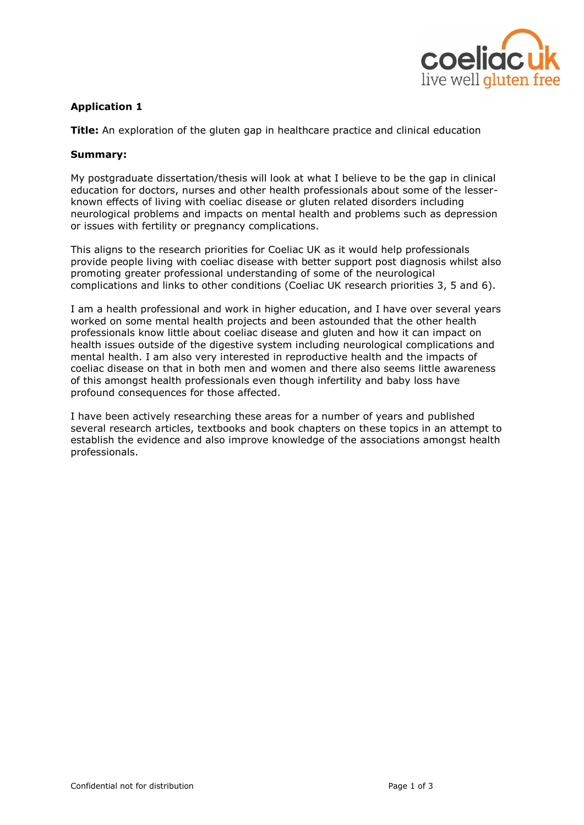

# **Application 1**

**Title:** An exploration of the gluten gap in healthcare practice and clinical education

#### **Summary:**

My postgraduate dissertation/thesis will look at what I believe to be the gap in clinical education for doctors, nurses and other health professionals about some of the lesserknown effects of living with coeliac disease or gluten related disorders including neurological problems and impacts on mental health and problems such as depression or issues with fertility or pregnancy complications.

This aligns to the research priorities for Coeliac UK as it would help professionals provide people living with coeliac disease with better support post diagnosis whilst also promoting greater professional understanding of some of the neurological complications and links to other conditions (Coeliac UK research priorities 3, 5 and 6).

I am a health professional and work in higher education, and I have over several years worked on some mental health projects and been astounded that the other health professionals know little about coeliac disease and gluten and how it can impact on health issues outside of the digestive system including neurological complications and mental health. I am also very interested in reproductive health and the impacts of coeliac disease on that in both men and women and there also seems little awareness of this amongst health professionals even though infertility and baby loss have profound consequences for those affected.

I have been actively researching these areas for a number of years and published several research articles, textbooks and book chapters on these topics in an attempt to establish the evidence and also improve knowledge of the associations amongst health professionals.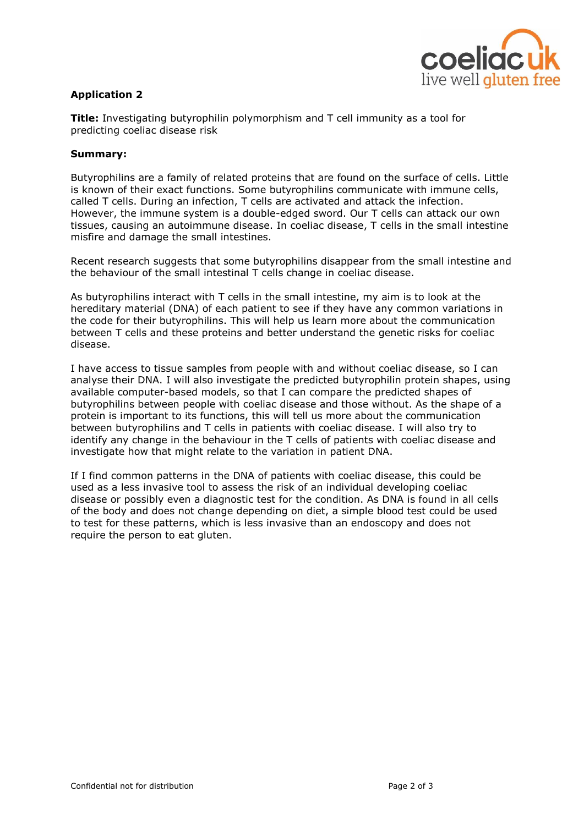

# **Application 2**

**Title:** Investigating butyrophilin polymorphism and T cell immunity as a tool for predicting coeliac disease risk

#### **Summary:**

Butyrophilins are a family of related proteins that are found on the surface of cells. Little is known of their exact functions. Some butyrophilins communicate with immune cells, called T cells. During an infection, T cells are activated and attack the infection. However, the immune system is a double-edged sword. Our T cells can attack our own tissues, causing an autoimmune disease. In coeliac disease, T cells in the small intestine misfire and damage the small intestines.

Recent research suggests that some butyrophilins disappear from the small intestine and the behaviour of the small intestinal T cells change in coeliac disease.

As butyrophilins interact with T cells in the small intestine, my aim is to look at the hereditary material (DNA) of each patient to see if they have any common variations in the code for their butyrophilins. This will help us learn more about the communication between T cells and these proteins and better understand the genetic risks for coeliac disease.

I have access to tissue samples from people with and without coeliac disease, so I can analyse their DNA. I will also investigate the predicted butyrophilin protein shapes, using available computer-based models, so that I can compare the predicted shapes of butyrophilins between people with coeliac disease and those without. As the shape of a protein is important to its functions, this will tell us more about the communication between butyrophilins and T cells in patients with coeliac disease. I will also try to identify any change in the behaviour in the T cells of patients with coeliac disease and investigate how that might relate to the variation in patient DNA.

If I find common patterns in the DNA of patients with coeliac disease, this could be used as a less invasive tool to assess the risk of an individual developing coeliac disease or possibly even a diagnostic test for the condition. As DNA is found in all cells of the body and does not change depending on diet, a simple blood test could be used to test for these patterns, which is less invasive than an endoscopy and does not require the person to eat gluten.